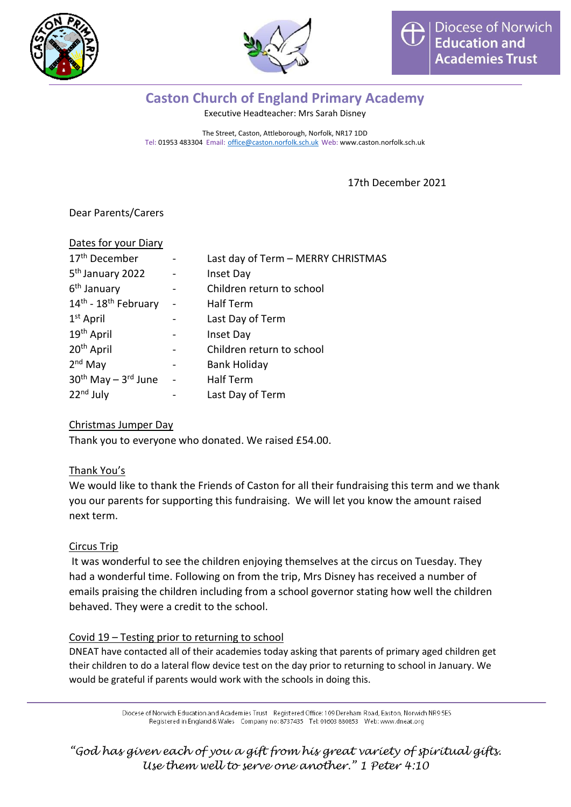



## **Caston Church of England Primary Academy**

Executive Headteacher: Mrs Sarah Disney

The Street, Caston, Attleborough, Norfolk, NR17 1DD Tel: 01953 483304 Email: [office@caston.norfolk.sch.uk](mailto:office@caston.norfolk.sch.uk) Web: www.caston.norfolk.sch.uk

17th December 2021

Dear Parents/Carers

| Dates for your Diary         |                          |                                    |
|------------------------------|--------------------------|------------------------------------|
| 17 <sup>th</sup> December    | $\overline{\phantom{0}}$ | Last day of Term - MERRY CHRISTMAS |
| 5 <sup>th</sup> January 2022 |                          | Inset Day                          |
| 6 <sup>th</sup> January      | -                        | Children return to school          |
| 14th - 18th February         | -                        | Half Term                          |
| 1 <sup>st</sup> April        |                          | Last Day of Term                   |
| 19 <sup>th</sup> April       |                          | Inset Day                          |
| 20 <sup>th</sup> April       |                          | Children return to school          |
| $2nd$ May                    |                          | <b>Bank Holiday</b>                |
| $30th$ May $-3rd$ June       | $\overline{a}$           | Half Term                          |
| $22nd$ July                  |                          | Last Day of Term                   |

### Christmas Jumper Day

Thank you to everyone who donated. We raised £54.00.

### Thank You's

We would like to thank the Friends of Caston for all their fundraising this term and we thank you our parents for supporting this fundraising. We will let you know the amount raised next term.

### Circus Trip

It was wonderful to see the children enjoying themselves at the circus on Tuesday. They had a wonderful time. Following on from the trip, Mrs Disney has received a number of emails praising the children including from a school governor stating how well the children behaved. They were a credit to the school.

### Covid 19 – Testing prior to returning to school

DNEAT have contacted all of their academies today asking that parents of primary aged children get their children to do a lateral flow device test on the day prior to returning to school in January. We would be grateful if parents would work with the schools in doing this.

> Diocese of Norwich Education and Academies Trust Registered Office: 109 Dereham Road, Easton, Norwich NR9 5ES Registered in England & Wales Company no: 8737435 Tel: 01603 880853 Web: www.dneat.org

*"God has given each of you a gift from his great variety of spiritual gifts. Use them well to serve one another." 1 Peter 4:10*